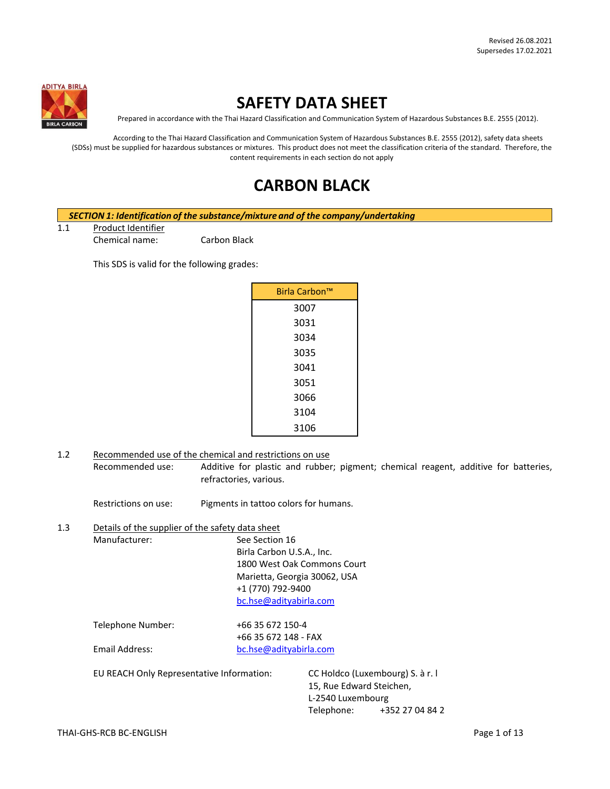

# **SAFETY DATA SHEET**

Prepared in accordance with the Thai Hazard Classification and Communication System of Hazardous Substances B.E. 2555 (2012).

According to the Thai Hazard Classification and Communication System of Hazardous Substances B.E. 2555 (2012), safety data sheets (SDSs) must be supplied for hazardous substances or mixtures. This product does not meet the classification criteria of the standard. Therefore, the content requirements in each section do not apply

# **CARBON BLACK**

*SECTION 1: Identification of the substance/mixture and of the company/undertaking*

1.1 Product Identifier

Chemical name: Carbon Black

This SDS is valid for the following grades:

| Birla Carbon <sup>™</sup> |
|---------------------------|
| 3007                      |
| 3031                      |
| 3034                      |
| 3035                      |
| 3041                      |
| 3051                      |
| 3066                      |
| 3104                      |
| 3106                      |

1.2 Recommended use of the chemical and restrictions on use Recommended use: Additive for plastic and rubber; pigment; chemical reagent, additive for batteries, refractories, various.

Restrictions on use: Pigments in tattoo colors for humans.

1.3 Details of the supplier of the safety data sheet Manufacturer: See Section 16 Birla Carbon U.S.A., Inc. 1800 West Oak Commons Court Marietta, Georgia 30062, USA +1 (770) 792-9400 [bc.hse@adityabirla.com](mailto:bc.hse@adityabirla.com)

> Telephone Number: +66 35 672 150-4 +66 35 672 148 - FAX Email Address: [bc.hse@adityabirla.com](mailto:bc.hse@adityabirla.com)

EU REACH Only Representative Information: CC Holdco (Luxembourg) S. à r. l

15, Rue Edward Steichen, L-2540 Luxembourg Telephone: +352 27 04 84 2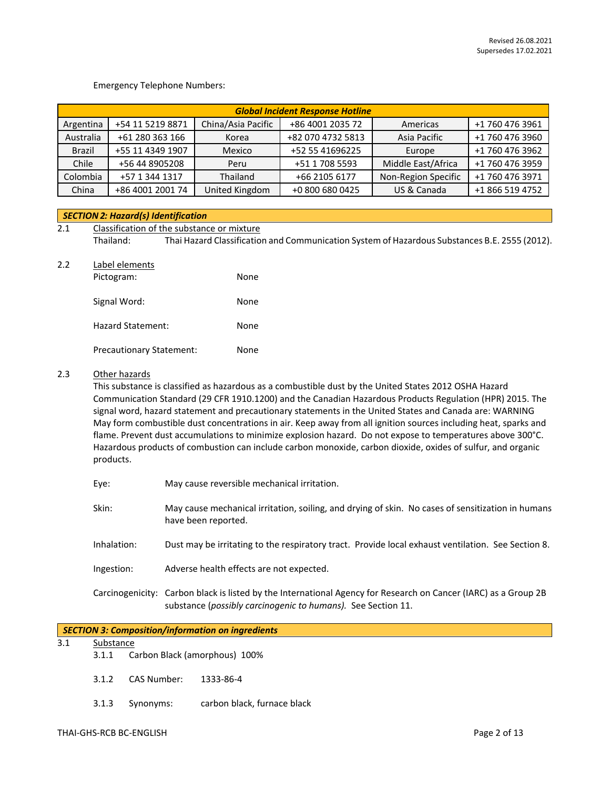## Emergency Telephone Numbers:

| <b>Global Incident Response Hotline</b> |                  |                    |                   |                     |                 |
|-----------------------------------------|------------------|--------------------|-------------------|---------------------|-----------------|
| Argentina                               | +54 11 5219 8871 | China/Asia Pacific | +86 4001 2035 72  | Americas            | +1 760 476 3961 |
| Australia                               | +61 280 363 166  | Korea              | +82 070 4732 5813 | Asia Pacific        | +1 760 476 3960 |
| Brazil                                  | +55 11 4349 1907 | Mexico             | +52 55 41696225   | Europe              | +1 760 476 3962 |
| Chile                                   | +56 44 8905208   | Peru               | +51 1 708 5593    | Middle East/Africa  | +1 760 476 3959 |
| Colombia                                | +57 1 344 1317   | Thailand           | +66 2105 6177     | Non-Region Specific | +1 760 476 3971 |
| China                                   | +86 4001 2001 74 | United Kingdom     | +0 800 680 0425   | US & Canada         | +1 866 519 4752 |

#### *SECTION 2: Hazard(s) Identification*

## 2.1 Classification of the substance or mixture Thailand: Thai Hazard Classification and Communication System of Hazardous Substances B.E. 2555 (2012).

|  | Label elements |
|--|----------------|
|--|----------------|

| Pictogram:               | None |
|--------------------------|------|
| Signal Word:             | None |
| Hazard Statement:        | None |
| Precautionary Statement: | None |

## 2.3 Other hazards

This substance is classified as hazardous as a combustible dust by the United States 2012 OSHA Hazard Communication Standard (29 CFR 1910.1200) and the Canadian Hazardous Products Regulation (HPR) 2015. The signal word, hazard statement and precautionary statements in the United States and Canada are: WARNING May form combustible dust concentrations in air. Keep away from all ignition sources including heat, sparks and flame. Prevent dust accumulations to minimize explosion hazard. Do not expose to temperatures above 300°C. Hazardous products of combustion can include carbon monoxide, carbon dioxide, oxides of sulfur, and organic products.

| Eye:        | May cause reversible mechanical irritation.                                                                                                                                     |
|-------------|---------------------------------------------------------------------------------------------------------------------------------------------------------------------------------|
| Skin:       | May cause mechanical irritation, soiling, and drying of skin. No cases of sensitization in humans<br>have been reported.                                                        |
| Inhalation: | Dust may be irritating to the respiratory tract. Provide local exhaust ventilation. See Section 8.                                                                              |
| Ingestion:  | Adverse health effects are not expected.                                                                                                                                        |
|             | Carcinogenicity: Carbon black is listed by the International Agency for Research on Cancer (IARC) as a Group 2B<br>substance (possibly carcinogenic to humans). See Section 11. |

| SECTION 3: Composition/information on ingredients |
|---------------------------------------------------|
|---------------------------------------------------|

## 3.1 Substance

- 3.1.1 Carbon Black (amorphous) 100%
- 3.1.2 CAS Number: 1333-86-4
- 3.1.3 Synonyms: carbon black, furnace black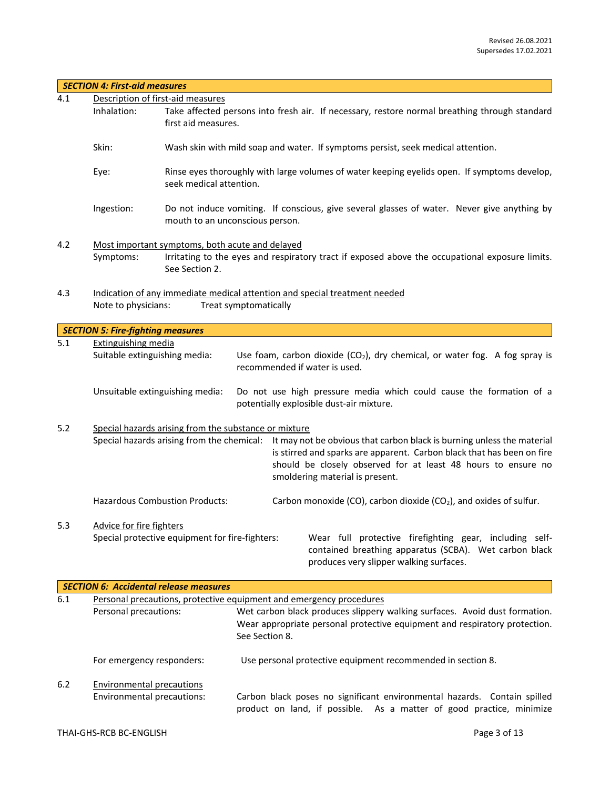|                               | <b>SECTION 4: First-aid measures</b>                                                                                                               |                                                                                                                                                                                                                                                           |                       |                                                                                                                                                                                                                                                                                                 |  |
|-------------------------------|----------------------------------------------------------------------------------------------------------------------------------------------------|-----------------------------------------------------------------------------------------------------------------------------------------------------------------------------------------------------------------------------------------------------------|-----------------------|-------------------------------------------------------------------------------------------------------------------------------------------------------------------------------------------------------------------------------------------------------------------------------------------------|--|
| 4.1                           | Description of first-aid measures                                                                                                                  |                                                                                                                                                                                                                                                           |                       |                                                                                                                                                                                                                                                                                                 |  |
|                               | Inhalation:                                                                                                                                        | first aid measures.                                                                                                                                                                                                                                       |                       | Take affected persons into fresh air. If necessary, restore normal breathing through standard                                                                                                                                                                                                   |  |
|                               | Skin:                                                                                                                                              |                                                                                                                                                                                                                                                           |                       | Wash skin with mild soap and water. If symptoms persist, seek medical attention.                                                                                                                                                                                                                |  |
|                               | Eye:                                                                                                                                               | Rinse eyes thoroughly with large volumes of water keeping eyelids open. If symptoms develop,<br>seek medical attention.<br>Do not induce vomiting. If conscious, give several glasses of water. Never give anything by<br>mouth to an unconscious person. |                       |                                                                                                                                                                                                                                                                                                 |  |
|                               | Ingestion:                                                                                                                                         |                                                                                                                                                                                                                                                           |                       |                                                                                                                                                                                                                                                                                                 |  |
| 4.2                           | Most important symptoms, both acute and delayed                                                                                                    |                                                                                                                                                                                                                                                           |                       |                                                                                                                                                                                                                                                                                                 |  |
|                               | Symptoms:                                                                                                                                          | See Section 2.                                                                                                                                                                                                                                            |                       | Irritating to the eyes and respiratory tract if exposed above the occupational exposure limits.                                                                                                                                                                                                 |  |
|                               |                                                                                                                                                    |                                                                                                                                                                                                                                                           |                       |                                                                                                                                                                                                                                                                                                 |  |
| 4.3                           | Note to physicians:                                                                                                                                |                                                                                                                                                                                                                                                           | Treat symptomatically | Indication of any immediate medical attention and special treatment needed                                                                                                                                                                                                                      |  |
|                               |                                                                                                                                                    |                                                                                                                                                                                                                                                           |                       |                                                                                                                                                                                                                                                                                                 |  |
|                               | <b>SECTION 5: Fire-fighting measures</b>                                                                                                           |                                                                                                                                                                                                                                                           |                       |                                                                                                                                                                                                                                                                                                 |  |
| 5.1                           | <b>Extinguishing media</b>                                                                                                                         |                                                                                                                                                                                                                                                           |                       |                                                                                                                                                                                                                                                                                                 |  |
| Suitable extinguishing media: |                                                                                                                                                    |                                                                                                                                                                                                                                                           |                       | Use foam, carbon dioxide ( $CO2$ ), dry chemical, or water fog. A fog spray is<br>recommended if water is used.                                                                                                                                                                                 |  |
|                               | Unsuitable extinguishing media:<br>Do not use high pressure media which could cause the formation of a<br>potentially explosible dust-air mixture. |                                                                                                                                                                                                                                                           |                       |                                                                                                                                                                                                                                                                                                 |  |
| 5.2                           |                                                                                                                                                    | Special hazards arising from the substance or mixture                                                                                                                                                                                                     |                       | Special hazards arising from the chemical: It may not be obvious that carbon black is burning unless the material<br>is stirred and sparks are apparent. Carbon black that has been on fire<br>should be closely observed for at least 48 hours to ensure no<br>smoldering material is present. |  |
|                               |                                                                                                                                                    | <b>Hazardous Combustion Products:</b>                                                                                                                                                                                                                     |                       | Carbon monoxide (CO), carbon dioxide (CO <sub>2</sub> ), and oxides of sulfur.                                                                                                                                                                                                                  |  |
| 5.3                           | <b>Advice for fire fighters</b>                                                                                                                    | Special protective equipment for fire-fighters:                                                                                                                                                                                                           |                       | Wear full protective firefighting gear, including self-<br>contained breathing apparatus (SCBA). Wet carbon black<br>produces very slipper walking surfaces.                                                                                                                                    |  |
|                               |                                                                                                                                                    | <b>SECTION 6: Accidental release measures</b>                                                                                                                                                                                                             |                       |                                                                                                                                                                                                                                                                                                 |  |
| $6.1\,$                       |                                                                                                                                                    |                                                                                                                                                                                                                                                           |                       | Personal precautions, protective equipment and emergency procedures                                                                                                                                                                                                                             |  |
|                               | Personal precautions:                                                                                                                              |                                                                                                                                                                                                                                                           | See Section 8.        | Wet carbon black produces slippery walking surfaces. Avoid dust formation.<br>Wear appropriate personal protective equipment and respiratory protection.                                                                                                                                        |  |
|                               | For emergency responders:                                                                                                                          |                                                                                                                                                                                                                                                           |                       | Use personal protective equipment recommended in section 8.                                                                                                                                                                                                                                     |  |
| $6.2$                         | <b>Environmental precautions</b>                                                                                                                   |                                                                                                                                                                                                                                                           |                       |                                                                                                                                                                                                                                                                                                 |  |
|                               | Environmental precautions:                                                                                                                         |                                                                                                                                                                                                                                                           |                       | Carbon black poses no significant environmental hazards. Contain spilled<br>product on land, if possible. As a matter of good practice, minimize                                                                                                                                                |  |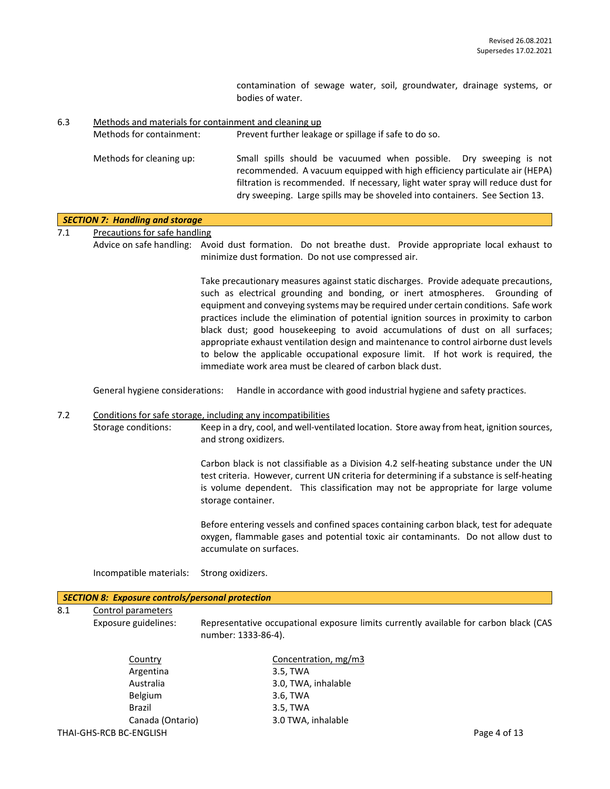contamination of sewage water, soil, groundwater, drainage systems, or bodies of water.

6.3 Methods and materials for containment and cleaning up Methods for containment: Prevent further leakage or spillage if safe to do so. Methods for cleaning up: Small spills should be vacuumed when possible. Dry sweeping is not recommended. A vacuum equipped with high efficiency particulate air (HEPA) filtration is recommended. If necessary, light water spray will reduce dust for dry sweeping. Large spills may be shoveled into containers. See Section 13.

|     | <b>SECTION 7: Handling and storage</b>                  |                                                                                                                                                                                                                                                                                                                                                                                                                                                                                                                                                                                                                                                                                    |  |  |  |  |  |
|-----|---------------------------------------------------------|------------------------------------------------------------------------------------------------------------------------------------------------------------------------------------------------------------------------------------------------------------------------------------------------------------------------------------------------------------------------------------------------------------------------------------------------------------------------------------------------------------------------------------------------------------------------------------------------------------------------------------------------------------------------------------|--|--|--|--|--|
| 7.1 | <b>Precautions for safe handling</b>                    |                                                                                                                                                                                                                                                                                                                                                                                                                                                                                                                                                                                                                                                                                    |  |  |  |  |  |
|     |                                                         | Advice on safe handling: Avoid dust formation. Do not breathe dust. Provide appropriate local exhaust to<br>minimize dust formation. Do not use compressed air.                                                                                                                                                                                                                                                                                                                                                                                                                                                                                                                    |  |  |  |  |  |
|     |                                                         | Take precautionary measures against static discharges. Provide adequate precautions,<br>such as electrical grounding and bonding, or inert atmospheres. Grounding of<br>equipment and conveying systems may be required under certain conditions. Safe work<br>practices include the elimination of potential ignition sources in proximity to carbon<br>black dust; good housekeeping to avoid accumulations of dust on all surfaces;<br>appropriate exhaust ventilation design and maintenance to control airborne dust levels<br>to below the applicable occupational exposure limit. If hot work is required, the<br>immediate work area must be cleared of carbon black dust. |  |  |  |  |  |
|     | General hygiene considerations:                         | Handle in accordance with good industrial hygiene and safety practices.                                                                                                                                                                                                                                                                                                                                                                                                                                                                                                                                                                                                            |  |  |  |  |  |
| 7.2 |                                                         | Conditions for safe storage, including any incompatibilities                                                                                                                                                                                                                                                                                                                                                                                                                                                                                                                                                                                                                       |  |  |  |  |  |
|     | Storage conditions:                                     | Keep in a dry, cool, and well-ventilated location. Store away from heat, ignition sources,<br>and strong oxidizers.                                                                                                                                                                                                                                                                                                                                                                                                                                                                                                                                                                |  |  |  |  |  |
|     |                                                         | Carbon black is not classifiable as a Division 4.2 self-heating substance under the UN<br>test criteria. However, current UN criteria for determining if a substance is self-heating<br>is volume dependent. This classification may not be appropriate for large volume<br>storage container.                                                                                                                                                                                                                                                                                                                                                                                     |  |  |  |  |  |
|     |                                                         | Before entering vessels and confined spaces containing carbon black, test for adequate<br>oxygen, flammable gases and potential toxic air contaminants. Do not allow dust to<br>accumulate on surfaces.                                                                                                                                                                                                                                                                                                                                                                                                                                                                            |  |  |  |  |  |
|     | Incompatible materials:                                 | Strong oxidizers.                                                                                                                                                                                                                                                                                                                                                                                                                                                                                                                                                                                                                                                                  |  |  |  |  |  |
|     | <b>SECTION 8: Exposure controls/personal protection</b> |                                                                                                                                                                                                                                                                                                                                                                                                                                                                                                                                                                                                                                                                                    |  |  |  |  |  |
| 8.1 | Control parameters                                      |                                                                                                                                                                                                                                                                                                                                                                                                                                                                                                                                                                                                                                                                                    |  |  |  |  |  |
|     | Exposure guidelines:                                    | Representative occupational exposure limits currently available for carbon black (CAS<br>number: 1333-86-4).                                                                                                                                                                                                                                                                                                                                                                                                                                                                                                                                                                       |  |  |  |  |  |
|     | Country                                                 | Concentration, mg/m3                                                                                                                                                                                                                                                                                                                                                                                                                                                                                                                                                                                                                                                               |  |  |  |  |  |
|     | Argentina                                               | 3.5, TWA                                                                                                                                                                                                                                                                                                                                                                                                                                                                                                                                                                                                                                                                           |  |  |  |  |  |
|     | Australia                                               | 3.0, TWA, inhalable                                                                                                                                                                                                                                                                                                                                                                                                                                                                                                                                                                                                                                                                |  |  |  |  |  |
|     | Belgium                                                 | 3.6, TWA                                                                                                                                                                                                                                                                                                                                                                                                                                                                                                                                                                                                                                                                           |  |  |  |  |  |
|     | <b>Brazil</b>                                           | 3.5, TWA                                                                                                                                                                                                                                                                                                                                                                                                                                                                                                                                                                                                                                                                           |  |  |  |  |  |
|     | Canada (Ontario)<br>THAI-GHS-RCB BC-ENGLISH             | 3.0 TWA, inhalable<br>Page 4 of 13                                                                                                                                                                                                                                                                                                                                                                                                                                                                                                                                                                                                                                                 |  |  |  |  |  |
|     |                                                         |                                                                                                                                                                                                                                                                                                                                                                                                                                                                                                                                                                                                                                                                                    |  |  |  |  |  |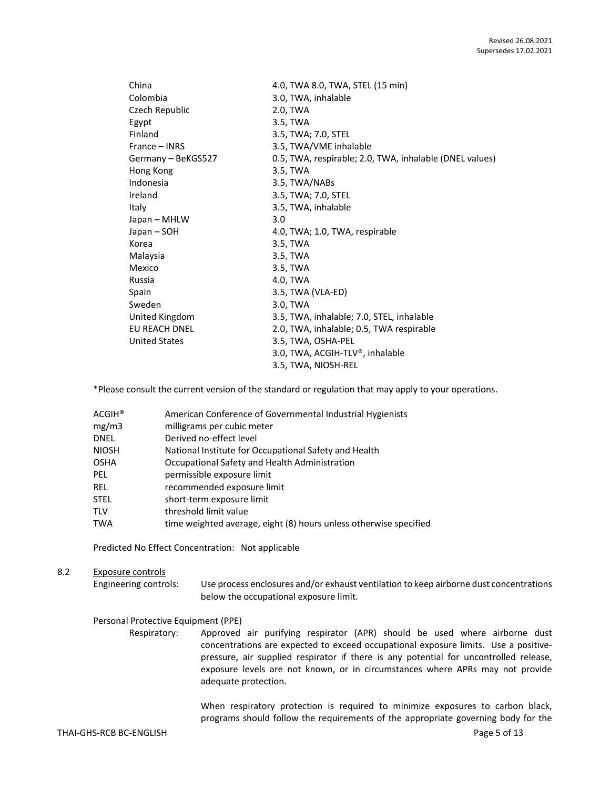| 4.0, TWA 8.0, TWA, STEL (15 min)                        |
|---------------------------------------------------------|
| 3.0, TWA, inhalable                                     |
| 2.0, TWA                                                |
| 3.5, TWA                                                |
| 3.5, TWA; 7.0, STEL                                     |
| 3.5, TWA/VME inhalable                                  |
| 0.5, TWA, respirable; 2.0, TWA, inhalable (DNEL values) |
| 3.5, TWA                                                |
| 3.5, TWA/NABs                                           |
| 3.5, TWA; 7.0, STEL                                     |
| 3.5, TWA, inhalable                                     |
| 3.0                                                     |
| 4.0, TWA; 1.0, TWA, respirable                          |
| 3.5, TWA                                                |
| 3.5, TWA                                                |
| 3.5, TWA                                                |
| 4.0, TWA                                                |
| 3.5, TWA (VLA-ED)                                       |
| 3.0, TWA                                                |
| 3.5, TWA, inhalable; 7.0, STEL, inhalable               |
| 2.0, TWA, inhalable; 0.5, TWA respirable                |
| 3.5, TWA, OSHA-PEL                                      |
| 3.0, TWA, ACGIH-TLV®, inhalable                         |
| 3.5, TWA, NIOSH-REL                                     |
|                                                         |

\*Please consult the current version of the standard or regulation that may apply to your operations.

| $\mathsf{ACGIH}^\circledast$ | American Conference of Governmental Industrial Hygienists         |
|------------------------------|-------------------------------------------------------------------|
| mg/m3                        | milligrams per cubic meter                                        |
| DNEL                         | Derived no-effect level                                           |
| NIOSH                        | National Institute for Occupational Safety and Health             |
| OSHA                         | Occupational Safety and Health Administration                     |
| PEL                          | permissible exposure limit                                        |
| REL                          | recommended exposure limit                                        |
| STEL                         | short-term exposure limit                                         |
| TLV                          | threshold limit value                                             |
| TWA                          | time weighted average, eight (8) hours unless otherwise specified |

Predicted No Effect Concentration: Not applicable

#### 8.2 Exposure controls

Engineering controls: Use process enclosures and/or exhaust ventilation to keep airborne dust concentrations below the occupational exposure limit.

#### Personal Protective Equipment (PPE)

Respiratory: Approved air purifying respirator (APR) should be used where airborne dust concentrations are expected to exceed occupational exposure limits. Use a positivepressure, air supplied respirator if there is any potential for uncontrolled release, exposure levels are not known, or in circumstances where APRs may not provide adequate protection.

> When respiratory protection is required to minimize exposures to carbon black, programs should follow the requirements of the appropriate governing body for the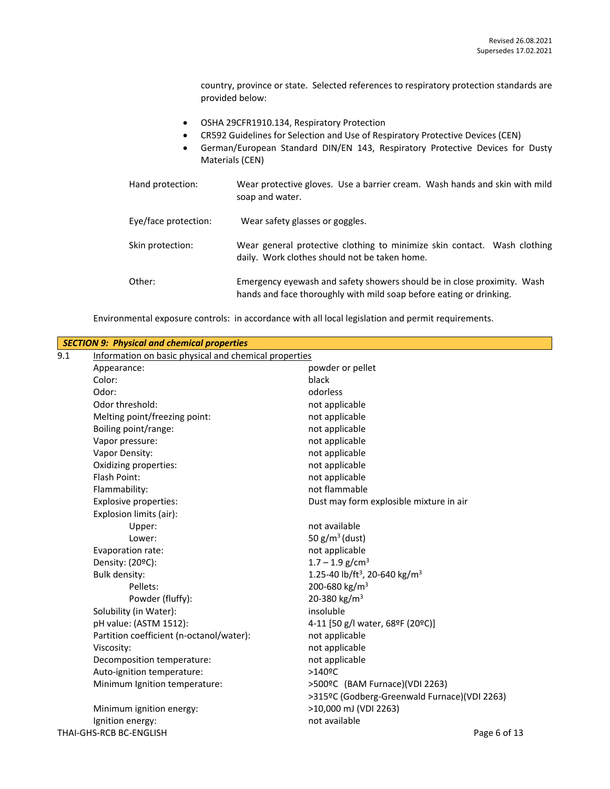country, province or state. Selected references to respiratory protection standards are provided below:

- OSHA 29CFR1910.134, Respiratory Protection
- CR592 Guidelines for Selection and Use of Respiratory Protective Devices (CEN)
- German/European Standard DIN/EN 143, Respiratory Protective Devices for Dusty Materials (CEN)

| Hand protection:     | Wear protective gloves. Use a barrier cream. Wash hands and skin with mild<br>soap and water.                                                  |
|----------------------|------------------------------------------------------------------------------------------------------------------------------------------------|
| Eye/face protection: | Wear safety glasses or goggles.                                                                                                                |
| Skin protection:     | Wear general protective clothing to minimize skin contact. Wash clothing<br>daily. Work clothes should not be taken home.                      |
| Other:               | Emergency eyewash and safety showers should be in close proximity. Wash<br>hands and face thoroughly with mild soap before eating or drinking. |

Environmental exposure controls: in accordance with all local legislation and permit requirements.

|                         | <b>SECTION 9: Physical and chemical properties</b>    |                                                       |  |  |  |
|-------------------------|-------------------------------------------------------|-------------------------------------------------------|--|--|--|
| 9.1                     | Information on basic physical and chemical properties |                                                       |  |  |  |
|                         | Appearance:                                           | powder or pellet                                      |  |  |  |
|                         | Color:                                                | black                                                 |  |  |  |
|                         | Odor:                                                 | odorless                                              |  |  |  |
|                         | Odor threshold:                                       | not applicable                                        |  |  |  |
|                         | Melting point/freezing point:                         | not applicable                                        |  |  |  |
|                         | Boiling point/range:                                  | not applicable                                        |  |  |  |
|                         | Vapor pressure:                                       | not applicable                                        |  |  |  |
|                         | Vapor Density:                                        | not applicable                                        |  |  |  |
|                         | Oxidizing properties:                                 | not applicable                                        |  |  |  |
|                         | Flash Point:                                          | not applicable                                        |  |  |  |
|                         | Flammability:                                         | not flammable                                         |  |  |  |
|                         | <b>Explosive properties:</b>                          | Dust may form explosible mixture in air               |  |  |  |
|                         | Explosion limits (air):                               |                                                       |  |  |  |
|                         | Upper:                                                | not available                                         |  |  |  |
|                         | Lower:                                                | 50 $g/m^3$ (dust)                                     |  |  |  |
|                         | Evaporation rate:                                     | not applicable                                        |  |  |  |
|                         | Density: (20ºC):                                      | $1.7 - 1.9$ g/cm <sup>3</sup>                         |  |  |  |
|                         | Bulk density:                                         | 1.25-40 lb/ft <sup>3</sup> , 20-640 kg/m <sup>3</sup> |  |  |  |
|                         | Pellets:                                              | 200-680 kg/m <sup>3</sup>                             |  |  |  |
|                         | Powder (fluffy):                                      | 20-380 kg/m <sup>3</sup>                              |  |  |  |
|                         | Solubility (in Water):                                | insoluble                                             |  |  |  |
|                         | pH value: (ASTM 1512):                                | 4-11 [50 g/l water, 68ºF (20ºC)]                      |  |  |  |
|                         | Partition coefficient (n-octanol/water):              | not applicable                                        |  |  |  |
|                         | Viscosity:                                            | not applicable                                        |  |  |  |
|                         | Decomposition temperature:                            | not applicable                                        |  |  |  |
|                         | Auto-ignition temperature:                            | $>140$ <sup>o</sup> C                                 |  |  |  |
|                         | Minimum Ignition temperature:                         | >500ºC (BAM Furnace)(VDI 2263)                        |  |  |  |
|                         |                                                       | >315ºC (Godberg-Greenwald Furnace)(VDI 2263)          |  |  |  |
|                         | Minimum ignition energy:                              | >10,000 mJ (VDI 2263)                                 |  |  |  |
|                         | Ignition energy:                                      | not available                                         |  |  |  |
| THAI-GHS-RCB BC-ENGLISH |                                                       | Page 6 of 13                                          |  |  |  |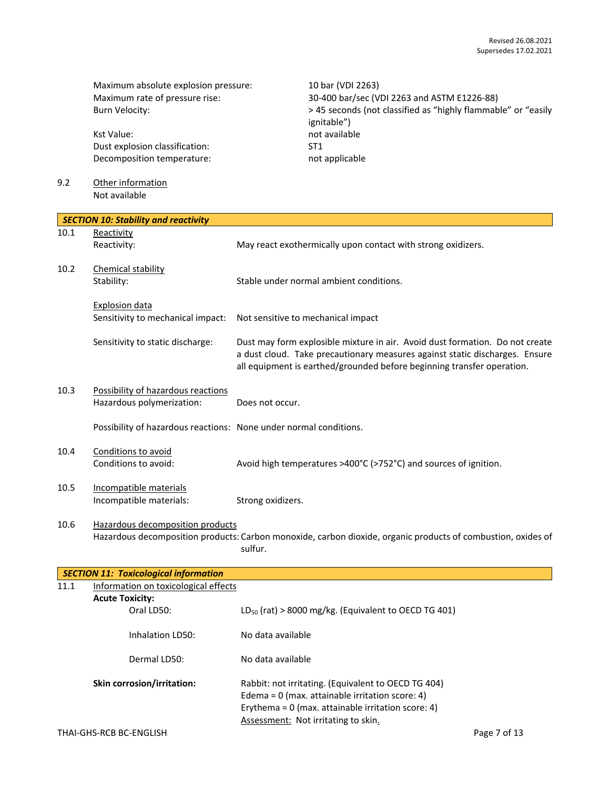Maximum absolute explosion pressure: 10 bar (VDI 2263)

Kst Value: not available Dust explosion classification: ST1 Decomposition temperature: not applicable

9.2 Other information Not available

Maximum rate of pressure rise: 30-400 bar/sec (VDI 2263 and ASTM E1226-88) Burn Velocity:  $\rightarrow$  45 seconds (not classified as "highly flammable" or "easily ignitable")

|      | <b>SECTION 10: Stability and reactivity</b>                                                                                                                 |                                                                                                                                                                                                                                       |  |  |
|------|-------------------------------------------------------------------------------------------------------------------------------------------------------------|---------------------------------------------------------------------------------------------------------------------------------------------------------------------------------------------------------------------------------------|--|--|
| 10.1 | Reactivity                                                                                                                                                  |                                                                                                                                                                                                                                       |  |  |
|      | Reactivity:                                                                                                                                                 | May react exothermically upon contact with strong oxidizers.                                                                                                                                                                          |  |  |
| 10.2 | Chemical stability                                                                                                                                          |                                                                                                                                                                                                                                       |  |  |
|      | Stability:                                                                                                                                                  | Stable under normal ambient conditions.                                                                                                                                                                                               |  |  |
|      | <b>Explosion data</b>                                                                                                                                       |                                                                                                                                                                                                                                       |  |  |
|      | Sensitivity to mechanical impact:                                                                                                                           | Not sensitive to mechanical impact                                                                                                                                                                                                    |  |  |
|      | Sensitivity to static discharge:                                                                                                                            | Dust may form explosible mixture in air. Avoid dust formation. Do not create<br>a dust cloud. Take precautionary measures against static discharges. Ensure<br>all equipment is earthed/grounded before beginning transfer operation. |  |  |
| 10.3 | Possibility of hazardous reactions<br>Hazardous polymerization:                                                                                             | Does not occur.                                                                                                                                                                                                                       |  |  |
|      |                                                                                                                                                             |                                                                                                                                                                                                                                       |  |  |
|      | Possibility of hazardous reactions: None under normal conditions.                                                                                           |                                                                                                                                                                                                                                       |  |  |
| 10.4 | Conditions to avoid                                                                                                                                         |                                                                                                                                                                                                                                       |  |  |
|      | Conditions to avoid:                                                                                                                                        | Avoid high temperatures >400°C (>752°C) and sources of ignition.                                                                                                                                                                      |  |  |
| 10.5 | Incompatible materials                                                                                                                                      |                                                                                                                                                                                                                                       |  |  |
|      | Incompatible materials:                                                                                                                                     | Strong oxidizers.                                                                                                                                                                                                                     |  |  |
| 10.6 | Hazardous decomposition products<br>Hazardous decomposition products: Carbon monoxide, carbon dioxide, organic products of combustion, oxides of<br>sulfur. |                                                                                                                                                                                                                                       |  |  |
|      | <b>SECTION 11: Toxicological information</b>                                                                                                                |                                                                                                                                                                                                                                       |  |  |
| 11.1 | Information on toxicological effects                                                                                                                        |                                                                                                                                                                                                                                       |  |  |
|      | <b>Acute Toxicity:</b>                                                                                                                                      |                                                                                                                                                                                                                                       |  |  |
|      | Oral LD50:                                                                                                                                                  | $LD_{50}$ (rat) > 8000 mg/kg. (Equivalent to OECD TG 401)                                                                                                                                                                             |  |  |
|      | Inhalation LD50:                                                                                                                                            | No data available                                                                                                                                                                                                                     |  |  |
|      | Dermal LD50:                                                                                                                                                | No data available                                                                                                                                                                                                                     |  |  |
|      | Skin corrosion/irritation:                                                                                                                                  | Rabbit: not irritating. (Equivalent to OECD TG 404)<br>Edema = $0$ (max. attainable irritation score: 4)<br>Erythema = $0$ (max. attainable irritation score: 4)<br>Assessment: Not irritating to skin.                               |  |  |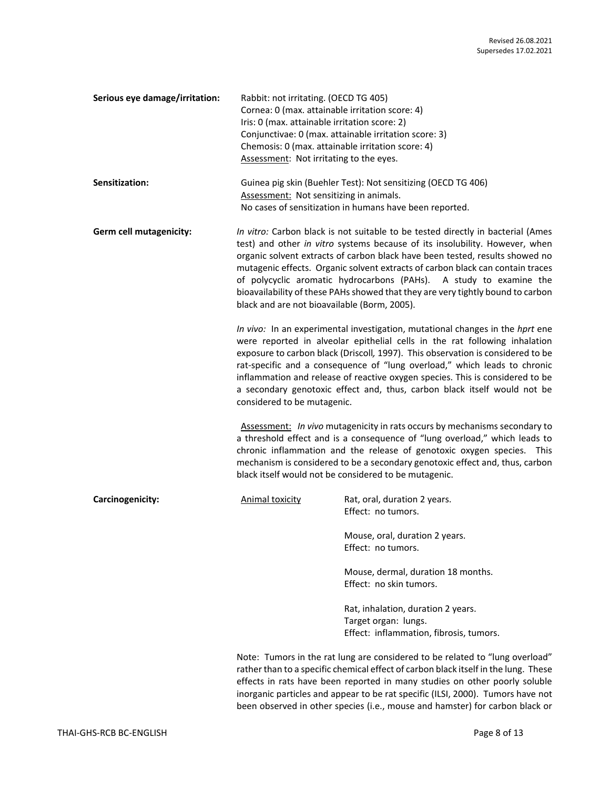| Serious eye damage/irritation: | Rabbit: not irritating. (OECD TG 405)                 |  |
|--------------------------------|-------------------------------------------------------|--|
|                                | Cornea: 0 (max. attainable irritation score: 4)       |  |
|                                | Iris: 0 (max. attainable irritation score: 2)         |  |
|                                | Conjunctivae: 0 (max. attainable irritation score: 3) |  |
|                                | Chemosis: 0 (max. attainable irritation score: 4)     |  |
|                                | Assessment: Not irritating to the eyes.               |  |
|                                |                                                       |  |

| <b>Sensitization:</b> | Guinea pig skin (Buehler Test): Not sensitizing (OECD TG 406) |
|-----------------------|---------------------------------------------------------------|
|                       | Assessment: Not sensitizing in animals.                       |
|                       | No cases of sensitization in humans have been reported.       |

**Germ cell mutagenicity:** *In vitro:* Carbon black is not suitable to be tested directly in bacterial (Ames test) and other *in vitro* systems because of its insolubility. However, when organic solvent extracts of carbon black have been tested, results showed no mutagenic effects. Organic solvent extracts of carbon black can contain traces of polycyclic aromatic hydrocarbons (PAHs). A study to examine the bioavailability of these PAHs showed that they are very tightly bound to carbon black and are not bioavailable (Borm, 2005).

> *In vivo:* In an experimental investigation, mutational changes in the *hprt* ene were reported in alveolar epithelial cells in the rat following inhalation exposure to carbon black (Driscoll*,* 1997). This observation is considered to be rat-specific and a consequence of "lung overload," which leads to chronic inflammation and release of reactive oxygen species. This is considered to be a secondary genotoxic effect and, thus, carbon black itself would not be considered to be mutagenic.

> Assessment: *In vivo* mutagenicity in rats occurs by mechanisms secondary to a threshold effect and is a consequence of "lung overload," which leads to chronic inflammation and the release of genotoxic oxygen species. This mechanism is considered to be a secondary genotoxic effect and, thus, carbon black itself would not be considered to be mutagenic.

**Carcinogenicity:** Animal toxicity Rat, oral, duration 2 years. Effect: no tumors. Mouse, oral, duration 2 years. Effect: no tumors. Mouse, dermal, duration 18 months. Effect: no skin tumors. Rat, inhalation, duration 2 years. Target organ: lungs. Effect: inflammation, fibrosis, tumors. Note: Tumors in the rat lung are considered to be related to "lung overload"

rather than to a specific chemical effect of carbon black itself in the lung. These effects in rats have been reported in many studies on other poorly soluble inorganic particles and appear to be rat specific (ILSI, 2000). Tumors have not been observed in other species (i.e., mouse and hamster) for carbon black or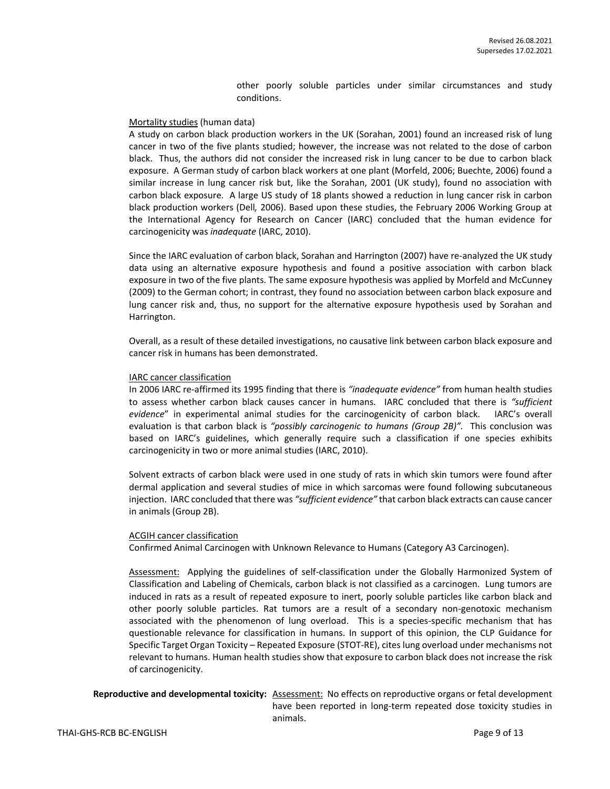other poorly soluble particles under similar circumstances and study conditions.

#### Mortality studies (human data)

A study on carbon black production workers in the UK (Sorahan, 2001) found an increased risk of lung cancer in two of the five plants studied; however, the increase was not related to the dose of carbon black. Thus, the authors did not consider the increased risk in lung cancer to be due to carbon black exposure. A German study of carbon black workers at one plant (Morfeld, 2006; Buechte, 2006) found a similar increase in lung cancer risk but, like the Sorahan, 2001 (UK study), found no association with carbon black exposure. A large US study of 18 plants showed a reduction in lung cancer risk in carbon black production workers (Dell*,* 2006). Based upon these studies, the February 2006 Working Group at the International Agency for Research on Cancer (IARC) concluded that the human evidence for carcinogenicity was *inadequate* (IARC, 2010).

Since the IARC evaluation of carbon black, Sorahan and Harrington (2007) have re-analyzed the UK study data using an alternative exposure hypothesis and found a positive association with carbon black exposure in two of the five plants. The same exposure hypothesis was applied by Morfeld and McCunney (2009) to the German cohort; in contrast, they found no association between carbon black exposure and lung cancer risk and, thus, no support for the alternative exposure hypothesis used by Sorahan and Harrington.

Overall, as a result of these detailed investigations, no causative link between carbon black exposure and cancer risk in humans has been demonstrated.

#### IARC cancer classification

In 2006 IARC re-affirmed its 1995 finding that there is *"inadequate evidence"* from human health studies to assess whether carbon black causes cancer in humans. IARC concluded that there is *"sufficient evidence*" in experimental animal studies for the carcinogenicity of carbon black. IARC's overall evaluation is that carbon black is *"possibly carcinogenic to humans (Group 2B)".* This conclusion was based on IARC's guidelines, which generally require such a classification if one species exhibits carcinogenicity in two or more animal studies (IARC, 2010).

Solvent extracts of carbon black were used in one study of rats in which skin tumors were found after dermal application and several studies of mice in which sarcomas were found following subcutaneous injection. IARC concluded that there was *"sufficient evidence"* that carbon black extracts can cause cancer in animals (Group 2B).

#### ACGIH cancer classification

Confirmed Animal Carcinogen with Unknown Relevance to Humans (Category A3 Carcinogen).

Assessment: Applying the guidelines of self-classification under the Globally Harmonized System of Classification and Labeling of Chemicals, carbon black is not classified as a carcinogen. Lung tumors are induced in rats as a result of repeated exposure to inert, poorly soluble particles like carbon black and other poorly soluble particles. Rat tumors are a result of a secondary non-genotoxic mechanism associated with the phenomenon of lung overload. This is a species-specific mechanism that has questionable relevance for classification in humans. In support of this opinion, the CLP Guidance for Specific Target Organ Toxicity – Repeated Exposure (STOT-RE), cites lung overload under mechanisms not relevant to humans. Human health studies show that exposure to carbon black does not increase the risk of carcinogenicity.

## **Reproductive and developmental toxicity:** Assessment: No effects on reproductive organs or fetal development have been reported in long-term repeated dose toxicity studies in animals.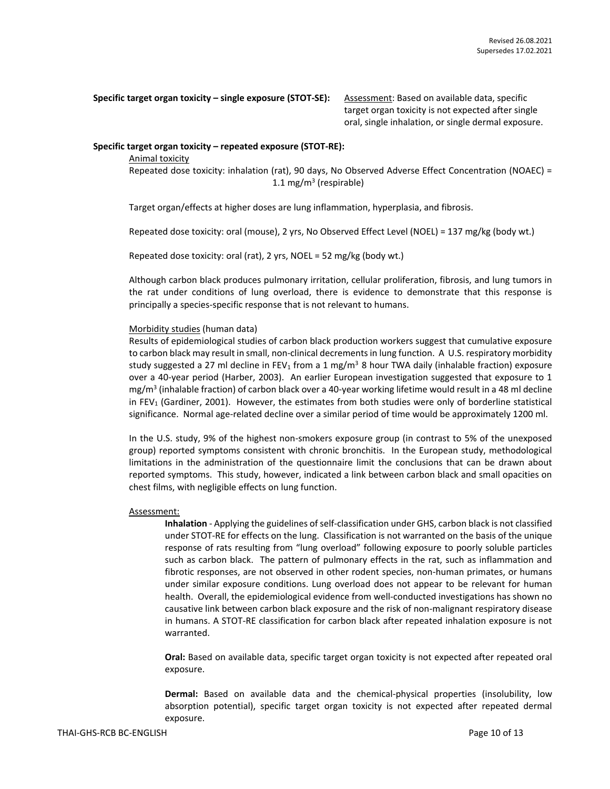**Specific target organ toxicity – single exposure (STOT-SE):** Assessment: Based on available data, specific

target organ toxicity is not expected after single oral, single inhalation, or single dermal exposure.

## **Specific target organ toxicity – repeated exposure (STOT-RE):**

Animal toxicity

Repeated dose toxicity: inhalation (rat), 90 days, No Observed Adverse Effect Concentration (NOAEC) = 1.1 mg/m<sup>3</sup> (respirable)

Target organ/effects at higher doses are lung inflammation, hyperplasia, and fibrosis.

Repeated dose toxicity: oral (mouse), 2 yrs, No Observed Effect Level (NOEL) = 137 mg/kg (body wt.)

Repeated dose toxicity: oral (rat), 2 yrs, NOEL = 52 mg/kg (body wt.)

Although carbon black produces pulmonary irritation, cellular proliferation, fibrosis, and lung tumors in the rat under conditions of lung overload, there is evidence to demonstrate that this response is principally a species-specific response that is not relevant to humans.

## Morbidity studies (human data)

Results of epidemiological studies of carbon black production workers suggest that cumulative exposure to carbon black may result in small, non-clinical decrements in lung function. A U.S. respiratory morbidity study suggested a 27 ml decline in FEV<sub>1</sub> from a 1 mg/m<sup>3</sup> 8 hour TWA daily (inhalable fraction) exposure over a 40-year period (Harber, 2003). An earlier European investigation suggested that exposure to 1 mg/m<sup>3</sup> (inhalable fraction) of carbon black over a 40-year working lifetime would result in a 48 ml decline in FEV<sub>1</sub> (Gardiner, 2001). However, the estimates from both studies were only of borderline statistical significance. Normal age-related decline over a similar period of time would be approximately 1200 ml.

In the U.S. study, 9% of the highest non-smokers exposure group (in contrast to 5% of the unexposed group) reported symptoms consistent with chronic bronchitis. In the European study, methodological limitations in the administration of the questionnaire limit the conclusions that can be drawn about reported symptoms. This study, however, indicated a link between carbon black and small opacities on chest films, with negligible effects on lung function.

#### Assessment:

**Inhalation** - Applying the guidelines of self-classification under GHS, carbon black is not classified under STOT-RE for effects on the lung. Classification is not warranted on the basis of the unique response of rats resulting from "lung overload" following exposure to poorly soluble particles such as carbon black. The pattern of pulmonary effects in the rat, such as inflammation and fibrotic responses, are not observed in other rodent species, non-human primates, or humans under similar exposure conditions. Lung overload does not appear to be relevant for human health. Overall, the epidemiological evidence from well-conducted investigations has shown no causative link between carbon black exposure and the risk of non-malignant respiratory disease in humans. A STOT-RE classification for carbon black after repeated inhalation exposure is not warranted.

**Oral:** Based on available data, specific target organ toxicity is not expected after repeated oral exposure.

**Dermal:** Based on available data and the chemical-physical properties (insolubility, low absorption potential), specific target organ toxicity is not expected after repeated dermal exposure.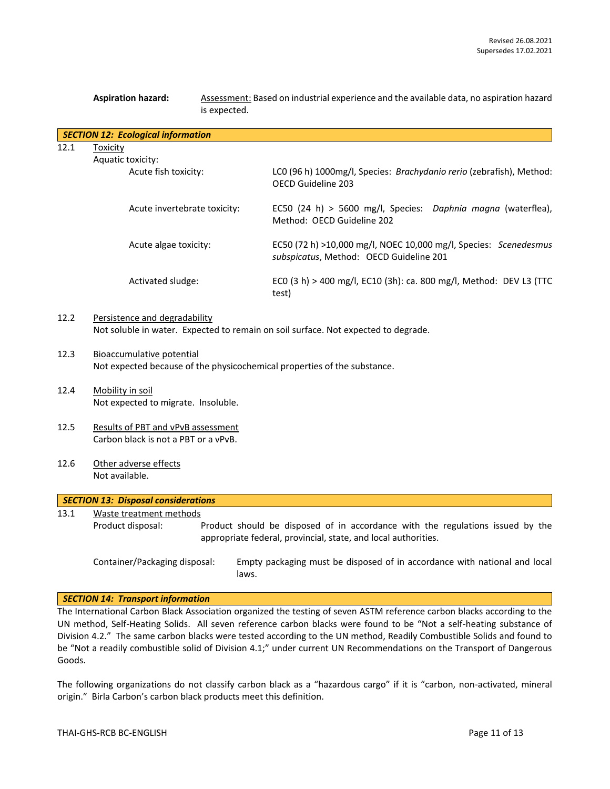|      | <b>Aspiration hazard:</b><br>Assessment: Based on industrial experience and the available data, no aspiration hazard<br>is expected. |  |                                                                                                                                                  |  |  |
|------|--------------------------------------------------------------------------------------------------------------------------------------|--|--------------------------------------------------------------------------------------------------------------------------------------------------|--|--|
|      | <b>SECTION 12: Ecological information</b>                                                                                            |  |                                                                                                                                                  |  |  |
| 12.1 | <b>Toxicity</b>                                                                                                                      |  |                                                                                                                                                  |  |  |
|      | Aquatic toxicity:                                                                                                                    |  |                                                                                                                                                  |  |  |
|      | Acute fish toxicity:                                                                                                                 |  | LC0 (96 h) 1000mg/l, Species: Brachydanio rerio (zebrafish), Method:<br>OECD Guideline 203                                                       |  |  |
|      | Acute invertebrate toxicity:                                                                                                         |  | EC50 (24 h) > 5600 mg/l, Species: Daphnia magna (waterflea),<br>Method: OECD Guideline 202                                                       |  |  |
|      | Acute algae toxicity:                                                                                                                |  | EC50 (72 h) >10,000 mg/l, NOEC 10,000 mg/l, Species: Scenedesmus<br>subspicatus, Method: OECD Guideline 201                                      |  |  |
|      | Activated sludge:                                                                                                                    |  | ECO (3 h) > 400 mg/l, EC10 (3h): ca. 800 mg/l, Method: DEV L3 (TTC<br>test)                                                                      |  |  |
| 12.2 | Persistence and degradability<br>Not soluble in water. Expected to remain on soil surface. Not expected to degrade.                  |  |                                                                                                                                                  |  |  |
| 12.3 | Bioaccumulative potential<br>Not expected because of the physicochemical properties of the substance.                                |  |                                                                                                                                                  |  |  |
| 12.4 | Mobility in soil<br>Not expected to migrate. Insoluble.                                                                              |  |                                                                                                                                                  |  |  |
|      |                                                                                                                                      |  |                                                                                                                                                  |  |  |
| 12.5 | Results of PBT and vPvB assessment                                                                                                   |  |                                                                                                                                                  |  |  |
|      | Carbon black is not a PBT or a vPvB.                                                                                                 |  |                                                                                                                                                  |  |  |
| 12.6 | Other adverse effects                                                                                                                |  |                                                                                                                                                  |  |  |
|      | Not available.                                                                                                                       |  |                                                                                                                                                  |  |  |
|      | <b>SECTION 13: Disposal considerations</b>                                                                                           |  |                                                                                                                                                  |  |  |
| 13.1 | Waste treatment methods                                                                                                              |  |                                                                                                                                                  |  |  |
|      | Product disposal:                                                                                                                    |  | Product should be disposed of in accordance with the regulations issued by the<br>appropriate federal, provincial, state, and local authorities. |  |  |

## *SECTION 14: Transport information*

The International Carbon Black Association organized the testing of seven ASTM reference carbon blacks according to the UN method, Self-Heating Solids. All seven reference carbon blacks were found to be "Not a self-heating substance of Division 4.2." The same carbon blacks were tested according to the UN method, Readily Combustible Solids and found to be "Not a readily combustible solid of Division 4.1;" under current UN Recommendations on the Transport of Dangerous Goods.

laws.

Container/Packaging disposal: Empty packaging must be disposed of in accordance with national and local

The following organizations do not classify carbon black as a "hazardous cargo" if it is "carbon, non-activated, mineral origin." Birla Carbon's carbon black products meet this definition.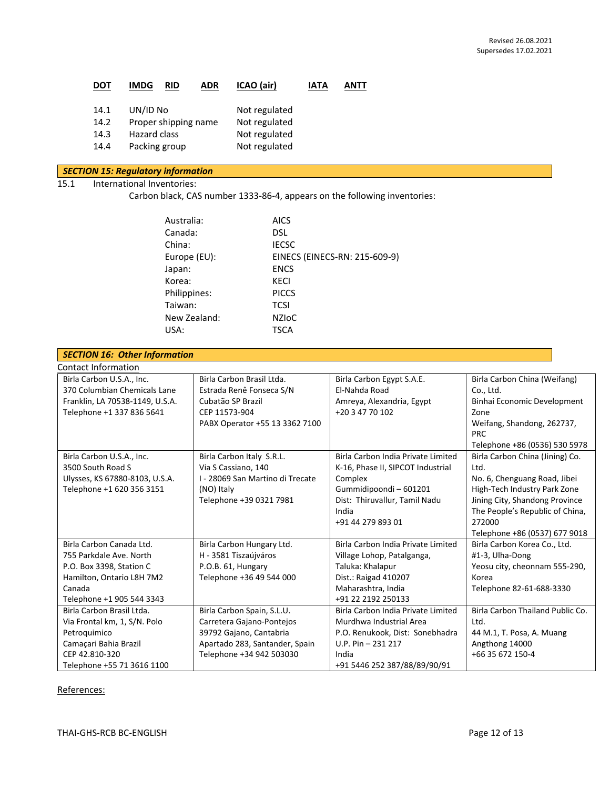| DOT  | ADR<br><b>IMDG</b><br>RID | ICAO (air)    | <b>IATA</b> | ANTT |
|------|---------------------------|---------------|-------------|------|
| 14.1 | UN/ID No                  | Not regulated |             |      |
| 14.2 | Proper shipping name      | Not regulated |             |      |
| 14.3 | <b>Hazard class</b>       | Not regulated |             |      |
| 14.4 | Packing group             | Not regulated |             |      |
|      |                           |               |             |      |

## *SECTION 15: Regulatory information* 15.1 International Inventories:

Carbon black, CAS number 1333-86-4, appears on the following inventories:

| Australia:   | <b>AICS</b>                   |
|--------------|-------------------------------|
| Canada:      | DSL.                          |
|              |                               |
| China:       | <b>IECSC</b>                  |
| Europe (EU): | EINECS (EINECS-RN: 215-609-9) |
| Japan:       | <b>ENCS</b>                   |
| Korea:       | KECI                          |
| Philippines: | <b>PICCS</b>                  |
| Taiwan:      | TCSI                          |
| New Zealand: | <b>NZIOC</b>                  |
| USA:         | <b>TSCA</b>                   |
|              |                               |

| <b>SECTION 16: Other Information</b> |                                  |                                    |                                  |
|--------------------------------------|----------------------------------|------------------------------------|----------------------------------|
| Contact Information                  |                                  |                                    |                                  |
| Birla Carbon U.S.A., Inc.            | Birla Carbon Brasil Ltda.        | Birla Carbon Egypt S.A.E.          | Birla Carbon China (Weifang)     |
| 370 Columbian Chemicals Lane         | Estrada Renê Fonseca S/N         | El-Nahda Road                      | Co., Ltd.                        |
| Franklin, LA 70538-1149, U.S.A.      | Cubatão SP Brazil                | Amreya, Alexandria, Egypt          | Binhai Economic Development      |
| Telephone +1 337 836 5641            | CEP 11573-904                    | +20 3 47 70 102                    | Zone                             |
|                                      | PABX Operator +55 13 3362 7100   |                                    | Weifang, Shandong, 262737,       |
|                                      |                                  |                                    | <b>PRC</b>                       |
|                                      |                                  |                                    | Telephone +86 (0536) 530 5978    |
| Birla Carbon U.S.A., Inc.            | Birla Carbon Italy S.R.L.        | Birla Carbon India Private Limited | Birla Carbon China (Jining) Co.  |
| 3500 South Road S                    | Via S Cassiano, 140              | K-16, Phase II, SIPCOT Industrial  | Ltd.                             |
| Ulysses, KS 67880-8103, U.S.A.       | I - 28069 San Martino di Trecate | Complex                            | No. 6, Chenguang Road, Jibei     |
| Telephone +1 620 356 3151            | (NO) Italy                       | Gummidipoondi - 601201             | High-Tech Industry Park Zone     |
|                                      | Telephone +39 0321 7981          | Dist: Thiruvallur, Tamil Nadu      | Jining City, Shandong Province   |
|                                      |                                  | India                              | The People's Republic of China,  |
|                                      |                                  | +91 44 279 893 01                  | 272000                           |
|                                      |                                  |                                    | Telephone +86 (0537) 677 9018    |
| Birla Carbon Canada Ltd.             | Birla Carbon Hungary Ltd.        | Birla Carbon India Private Limited | Birla Carbon Korea Co., Ltd.     |
| 755 Parkdale Ave. North              | H - 3581 Tiszaújváros            | Village Lohop, Patalganga,         | #1-3, Ulha-Dong                  |
| P.O. Box 3398, Station C             | P.O.B. 61, Hungary               | Taluka: Khalapur                   | Yeosu city, cheonnam 555-290,    |
| Hamilton, Ontario L8H 7M2            | Telephone +36 49 544 000         | Dist.: Raigad 410207               | Korea                            |
| Canada                               |                                  | Maharashtra, India                 | Telephone 82-61-688-3330         |
| Telephone +1 905 544 3343            |                                  | +91 22 2192 250133                 |                                  |
| Birla Carbon Brasil Ltda.            | Birla Carbon Spain, S.L.U.       | Birla Carbon India Private Limited | Birla Carbon Thailand Public Co. |
| Via Frontal km, 1, S/N. Polo         | Carretera Gajano-Pontejos        | Murdhwa Industrial Area            | Ltd.                             |
| Petroquimico                         | 39792 Gajano, Cantabria          | P.O. Renukook, Dist: Sonebhadra    | 44 M.1, T. Posa, A. Muang        |
| Camaçari Bahia Brazil                | Apartado 283, Santander, Spain   | $U.P. Pin - 231217$                | Angthong 14000                   |
| CEP 42.810-320                       | Telephone +34 942 503030         | India                              | +66 35 672 150-4                 |
| Telephone +55 71 3616 1100           |                                  | +91 5446 252 387/88/89/90/91       |                                  |

## References: